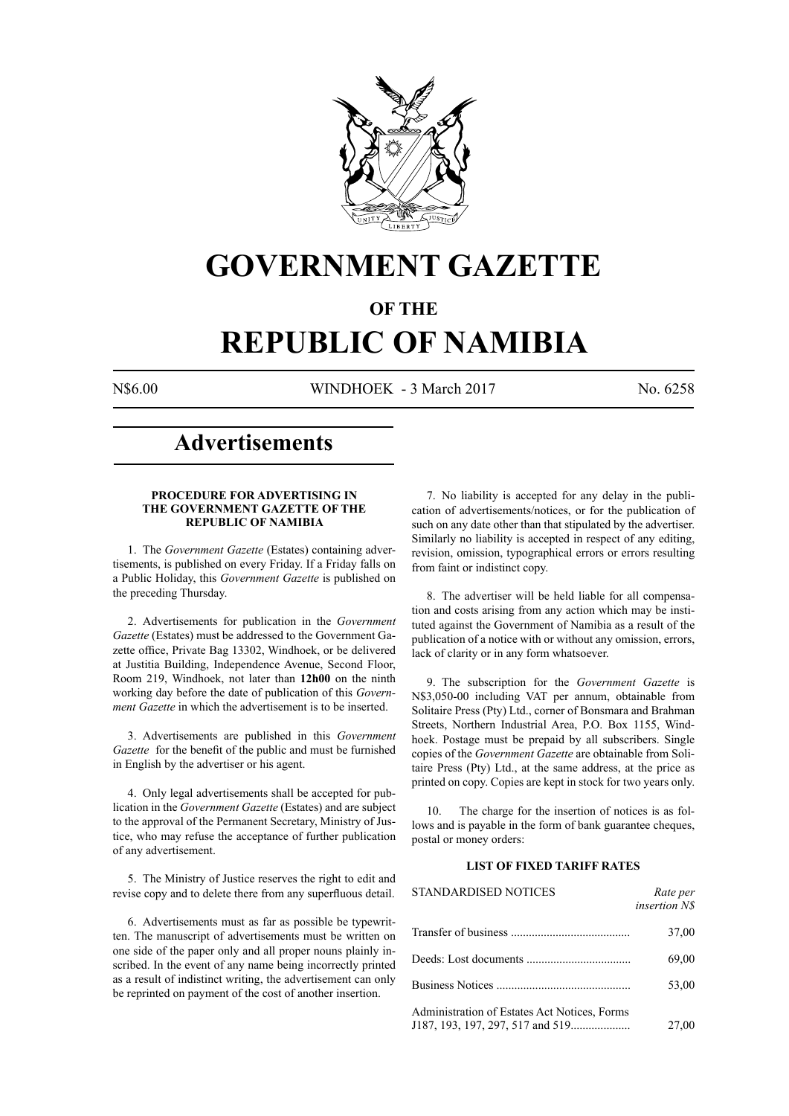

## **GOVERNMENT GAZETTE**

### **OF THE**

# **REPUBLIC OF NAMIBIA**

N\$6.00 WINDHOEK - 3 March 2017 No. 6258

### **Advertisements**

#### **PROCEDURE FOR ADVERTISING IN THE GOVERNMENT GAZETTE OF THE REPUBLIC OF NAMIBIA**

1. The *Government Gazette* (Estates) containing advertisements, is published on every Friday. If a Friday falls on a Public Holiday, this *Government Gazette* is published on the preceding Thursday.

2. Advertisements for publication in the *Government Gazette* (Estates) must be addressed to the Government Gazette office, Private Bag 13302, Windhoek, or be delivered at Justitia Building, Independence Avenue, Second Floor, Room 219, Windhoek, not later than **12h00** on the ninth working day before the date of publication of this *Government Gazette* in which the advertisement is to be inserted.

3. Advertisements are published in this *Government Gazette* for the benefit of the public and must be furnished in English by the advertiser or his agent.

4. Only legal advertisements shall be accepted for publication in the *Government Gazette* (Estates) and are subject to the approval of the Permanent Secretary, Ministry of Justice, who may refuse the acceptance of further publication of any advertisement.

5. The Ministry of Justice reserves the right to edit and revise copy and to delete there from any superfluous detail.

6. Advertisements must as far as possible be typewritten. The manuscript of advertisements must be written on one side of the paper only and all proper nouns plainly inscribed. In the event of any name being incorrectly printed as a result of indistinct writing, the advertisement can only be reprinted on payment of the cost of another insertion.

7. No liability is accepted for any delay in the publication of advertisements/notices, or for the publication of such on any date other than that stipulated by the advertiser. Similarly no liability is accepted in respect of any editing, revision, omission, typographical errors or errors resulting from faint or indistinct copy.

8. The advertiser will be held liable for all compensation and costs arising from any action which may be instituted against the Government of Namibia as a result of the publication of a notice with or without any omission, errors, lack of clarity or in any form whatsoever.

9. The subscription for the *Government Gazette* is N\$3,050-00 including VAT per annum, obtainable from Solitaire Press (Pty) Ltd., corner of Bonsmara and Brahman Streets, Northern Industrial Area, P.O. Box 1155, Windhoek. Postage must be prepaid by all subscribers. Single copies of the *Government Gazette* are obtainable from Solitaire Press (Pty) Ltd., at the same address, at the price as printed on copy. Copies are kept in stock for two years only.

10. The charge for the insertion of notices is as follows and is payable in the form of bank guarantee cheques, postal or money orders:

#### **LIST OF FIXED TARIFF RATES**

| <b>STANDARDISED NOTICES</b>                  | Rate per<br><i>insertion NS</i> |
|----------------------------------------------|---------------------------------|
|                                              | 37,00                           |
|                                              | 69,00                           |
|                                              | 53,00                           |
| Administration of Estates Act Notices, Forms | 27,00                           |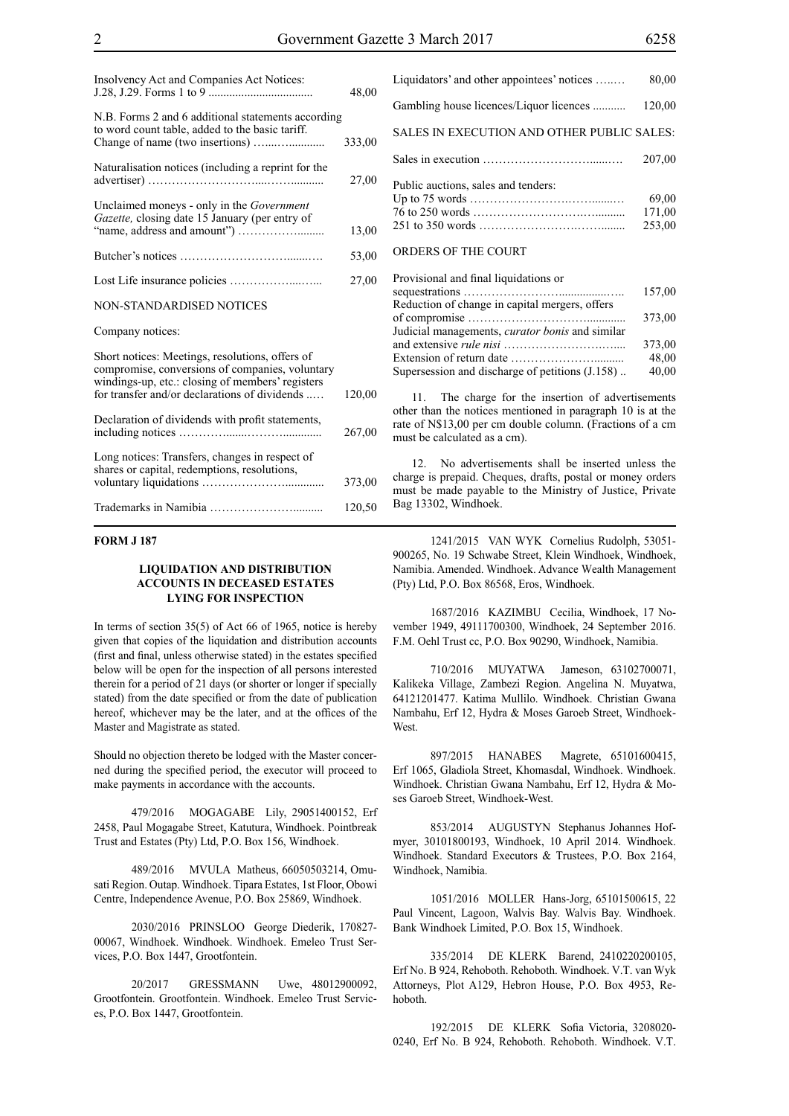| Insolvency Act and Companies Act Notices:                                                                                                                                                               | 48,00  |
|---------------------------------------------------------------------------------------------------------------------------------------------------------------------------------------------------------|--------|
| N.B. Forms 2 and 6 additional statements according<br>to word count table, added to the basic tariff.                                                                                                   | 333,00 |
|                                                                                                                                                                                                         |        |
| Naturalisation notices (including a reprint for the                                                                                                                                                     | 27,00  |
| Unclaimed moneys - only in the <i>Government</i><br>Gazette, closing date 15 January (per entry of                                                                                                      |        |
|                                                                                                                                                                                                         | 13,00  |
|                                                                                                                                                                                                         | 53,00  |
|                                                                                                                                                                                                         | 27,00  |
| <b>NON-STANDARDISED NOTICES</b>                                                                                                                                                                         |        |
| Company notices:                                                                                                                                                                                        |        |
| Short notices: Meetings, resolutions, offers of<br>compromise, conversions of companies, voluntary<br>windings-up, etc.: closing of members' registers<br>for transfer and/or declarations of dividends | 120,00 |
| Declaration of dividends with profit statements,                                                                                                                                                        | 267,00 |
| Long notices: Transfers, changes in respect of<br>shares or capital, redemptions, resolutions,                                                                                                          | 373,00 |
|                                                                                                                                                                                                         | 120,50 |

#### **FORM J 187**

#### **LIQUIDATION AND DISTRIBUTION ACCOUNTS IN DECEASED ESTATES LYING FOR INSPECTION**

In terms of section 35(5) of Act 66 of 1965, notice is hereby given that copies of the liquidation and distribution accounts (first and final, unless otherwise stated) in the estates specified below will be open for the inspection of all persons interested therein for a period of 21 days (or shorter or longer if specially stated) from the date specified or from the date of publication hereof, whichever may be the later, and at the offices of the Master and Magistrate as stated.

Should no objection thereto be lodged with the Master concerned during the specified period, the executor will proceed to make payments in accordance with the accounts.

479/2016 MOGAGABE Lily, 29051400152, Erf 2458, Paul Mogagabe Street, Katutura, Windhoek. Pointbreak Trust and Estates (Pty) Ltd, P.O. Box 156, Windhoek.

489/2016 MVULA Matheus, 66050503214, Omusati Region. Outap. Windhoek. Tipara Estates, 1st Floor, Obowi Centre, Independence Avenue, P.O. Box 25869, Windhoek.

2030/2016 PRINSLOO George Diederik, 170827- 00067, Windhoek. Windhoek. Windhoek. Emeleo Trust Services, P.O. Box 1447, Grootfontein.

20/2017 GRESSMANN Uwe, 48012900092, Grootfontein. Grootfontein. Windhoek. Emeleo Trust Services, P.O. Box 1447, Grootfontein.

Liquidators' and other appointees' notices …..… 80,00 Gambling house licences/Liquor licences ........... 120,00 SALES IN EXECUTION AND OTHER PUBLIC SALES: Sales in execution ………………………......…. 207,00 Public auctions, sales and tenders: Up to 75 words …………………….…….......… 69,00 76 to 250 words ……………………….….......... 171,00 251 to 350 words …………………….……........ 253,00 ORDERS OF THE COURT Provisional and final liquidations or

| Provisional and final liquidations or                  |        |
|--------------------------------------------------------|--------|
|                                                        | 157,00 |
| Reduction of change in capital mergers, offers         |        |
|                                                        | 373,00 |
| Judicial managements, <i>curator bonis</i> and similar |        |
|                                                        | 373,00 |
|                                                        | 48,00  |
| Supersession and discharge of petitions (J.158)        | 40,00  |
|                                                        |        |

11. The charge for the insertion of advertisements other than the notices mentioned in paragraph 10 is at the rate of N\$13,00 per cm double column. (Fractions of a cm must be calculated as a cm).

12. No advertisements shall be inserted unless the charge is prepaid. Cheques, drafts, postal or money orders must be made payable to the Ministry of Justice, Private Bag 13302, Windhoek.

1241/2015 VAN WYK Cornelius Rudolph, 53051- 900265, No. 19 Schwabe Street, Klein Windhoek, Windhoek, Namibia. Amended. Windhoek. Advance Wealth Management (Pty) Ltd, P.O. Box 86568, Eros, Windhoek.

1687/2016 KAZIMBU Cecilia, Windhoek, 17 November 1949, 49111700300, Windhoek, 24 September 2016. F.M. Oehl Trust cc, P.O. Box 90290, Windhoek, Namibia.

710/2016 MUYATWA Jameson, 63102700071, Kalikeka Village, Zambezi Region. Angelina N. Muyatwa, 64121201477. Katima Mullilo. Windhoek. Christian Gwana Nambahu, Erf 12, Hydra & Moses Garoeb Street, Windhoek-West.

897/2015 HANABES Magrete, 65101600415, Erf 1065, Gladiola Street, Khomasdal, Windhoek. Windhoek. Windhoek. Christian Gwana Nambahu, Erf 12, Hydra & Moses Garoeb Street, Windhoek-West.

853/2014 AUGUSTYN Stephanus Johannes Hofmyer, 30101800193, Windhoek, 10 April 2014. Windhoek. Windhoek. Standard Executors & Trustees, P.O. Box 2164, Windhoek, Namibia.

1051/2016 MOLLER Hans-Jorg, 65101500615, 22 Paul Vincent, Lagoon, Walvis Bay. Walvis Bay. Windhoek. Bank Windhoek Limited, P.O. Box 15, Windhoek.

335/2014 DE KLERK Barend, 2410220200105, Erf No. B 924, Rehoboth. Rehoboth. Windhoek. V.T. van Wyk Attorneys, Plot A129, Hebron House, P.O. Box 4953, Rehoboth.

192/2015 DE KLERK Sofia Victoria, 3208020- 0240, Erf No. B 924, Rehoboth. Rehoboth. Windhoek. V.T.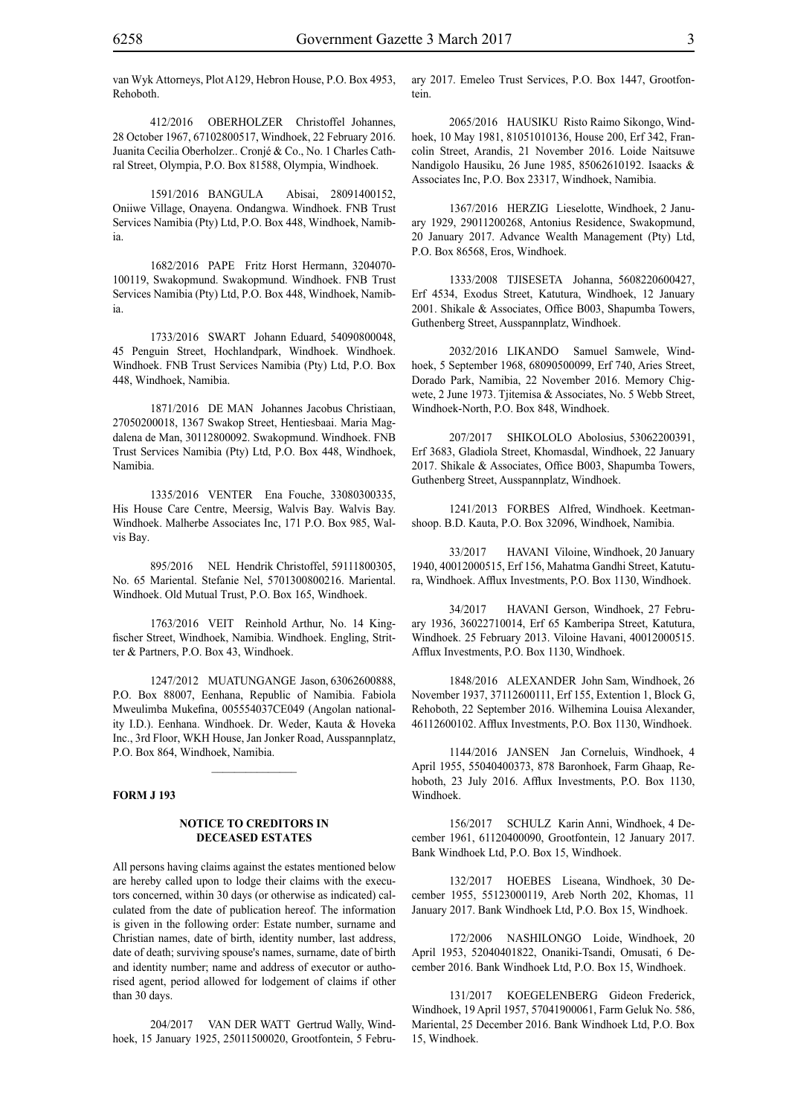van Wyk Attorneys, Plot A129, Hebron House, P.O. Box 4953, Rehoboth.

412/2016 OBERHOLZER Christoffel Johannes, 28 October 1967, 67102800517, Windhoek, 22 February 2016. Juanita Cecilia Oberholzer.. Cronjé & Co., No. 1 Charles Cathral Street, Olympia, P.O. Box 81588, Olympia, Windhoek.

1591/2016 BANGULA Abisai, 28091400152, Oniiwe Village, Onayena. Ondangwa. Windhoek. FNB Trust Services Namibia (Pty) Ltd, P.O. Box 448, Windhoek, Namibia.

1682/2016 PAPE Fritz Horst Hermann, 3204070- 100119, Swakopmund. Swakopmund. Windhoek. FNB Trust Services Namibia (Pty) Ltd, P.O. Box 448, Windhoek, Namibia.

1733/2016 SWART Johann Eduard, 54090800048, 45 Penguin Street, Hochlandpark, Windhoek. Windhoek. Windhoek. FNB Trust Services Namibia (Pty) Ltd, P.O. Box 448, Windhoek, Namibia.

1871/2016 DE MAN Johannes Jacobus Christiaan, 27050200018, 1367 Swakop Street, Hentiesbaai. Maria Magdalena de Man, 30112800092. Swakopmund. Windhoek. FNB Trust Services Namibia (Pty) Ltd, P.O. Box 448, Windhoek, Namibia.

1335/2016 VENTER Ena Fouche, 33080300335, His House Care Centre, Meersig, Walvis Bay. Walvis Bay. Windhoek. Malherbe Associates Inc, 171 P.O. Box 985, Walvis Bay.

895/2016 NEL Hendrik Christoffel, 59111800305, No. 65 Mariental. Stefanie Nel, 5701300800216. Mariental. Windhoek. Old Mutual Trust, P.O. Box 165, Windhoek.

1763/2016 VEIT Reinhold Arthur, No. 14 Kingfischer Street, Windhoek, Namibia. Windhoek. Engling, Stritter & Partners, P.O. Box 43, Windhoek.

1247/2012 MUATUNGANGE Jason, 63062600888, P.O. Box 88007, Eenhana, Republic of Namibia. Fabiola Mweulimba Mukefina, 005554037CE049 (Angolan nationality I.D.). Eenhana. Windhoek. Dr. Weder, Kauta & Hoveka Inc., 3rd Floor, WKH House, Jan Jonker Road, Ausspannplatz, P.O. Box 864, Windhoek, Namibia.

 $\frac{1}{2}$ 

#### **FORM J 193**

#### **NOTICE TO CREDITORS IN DECEASED ESTATES**

All persons having claims against the estates mentioned below are hereby called upon to lodge their claims with the executors concerned, within 30 days (or otherwise as indicated) calculated from the date of publication hereof. The information is given in the following order: Estate number, surname and Christian names, date of birth, identity number, last address, date of death; surviving spouse's names, surname, date of birth and identity number; name and address of executor or authorised agent, period allowed for lodgement of claims if other than 30 days.

204/2017 VAN DER WATT Gertrud Wally, Windhoek, 15 January 1925, 25011500020, Grootfontein, 5 February 2017. Emeleo Trust Services, P.O. Box 1447, Grootfontein.

2065/2016 HAUSIKU Risto Raimo Sikongo, Windhoek, 10 May 1981, 81051010136, House 200, Erf 342, Francolin Street, Arandis, 21 November 2016. Loide Naitsuwe Nandigolo Hausiku, 26 June 1985, 85062610192. Isaacks & Associates Inc, P.O. Box 23317, Windhoek, Namibia.

1367/2016 HERZIG Lieselotte, Windhoek, 2 January 1929, 29011200268, Antonius Residence, Swakopmund, 20 January 2017. Advance Wealth Management (Pty) Ltd, P.O. Box 86568, Eros, Windhoek.

1333/2008 TJISESETA Johanna, 5608220600427, Erf 4534, Exodus Street, Katutura, Windhoek, 12 January 2001. Shikale & Associates, Office B003, Shapumba Towers, Guthenberg Street, Ausspannplatz, Windhoek.

2032/2016 LIKANDO Samuel Samwele, Windhoek, 5 September 1968, 68090500099, Erf 740, Aries Street, Dorado Park, Namibia, 22 November 2016. Memory Chigwete, 2 June 1973. Tjitemisa & Associates, No. 5 Webb Street, Windhoek-North, P.O. Box 848, Windhoek.

207/2017 SHIKOLOLO Abolosius, 53062200391, Erf 3683, Gladiola Street, Khomasdal, Windhoek, 22 January 2017. Shikale & Associates, Office B003, Shapumba Towers, Guthenberg Street, Ausspannplatz, Windhoek.

1241/2013 FORBES Alfred, Windhoek. Keetmanshoop. B.D. Kauta, P.O. Box 32096, Windhoek, Namibia.

33/2017 HAVANI Viloine, Windhoek, 20 January 1940, 40012000515, Erf 156, Mahatma Gandhi Street, Katutura, Windhoek. Afflux Investments, P.O. Box 1130, Windhoek.

34/2017 HAVANI Gerson, Windhoek, 27 February 1936, 36022710014, Erf 65 Kamberipa Street, Katutura, Windhoek. 25 February 2013. Viloine Havani, 40012000515. Afflux Investments, P.O. Box 1130, Windhoek.

1848/2016 ALEXANDER John Sam, Windhoek, 26 November 1937, 37112600111, Erf 155, Extention 1, Block G, Rehoboth, 22 September 2016. Wilhemina Louisa Alexander, 46112600102. Afflux Investments, P.O. Box 1130, Windhoek.

1144/2016 JANSEN Jan Corneluis, Windhoek, 4 April 1955, 55040400373, 878 Baronhoek, Farm Ghaap, Rehoboth, 23 July 2016. Afflux Investments, P.O. Box 1130, Windhoek.

156/2017 SCHULZ Karin Anni, Windhoek, 4 December 1961, 61120400090, Grootfontein, 12 January 2017. Bank Windhoek Ltd, P.O. Box 15, Windhoek.

132/2017 HOEBES Liseana, Windhoek, 30 December 1955, 55123000119, Areb North 202, Khomas, 11 January 2017. Bank Windhoek Ltd, P.O. Box 15, Windhoek.

172/2006 NASHILONGO Loide, Windhoek, 20 April 1953, 52040401822, Onaniki-Tsandi, Omusati, 6 December 2016. Bank Windhoek Ltd, P.O. Box 15, Windhoek.

131/2017 KOEGELENBERG Gideon Frederick, Windhoek, 19 April 1957, 57041900061, Farm Geluk No. 586, Mariental, 25 December 2016. Bank Windhoek Ltd, P.O. Box 15, Windhoek.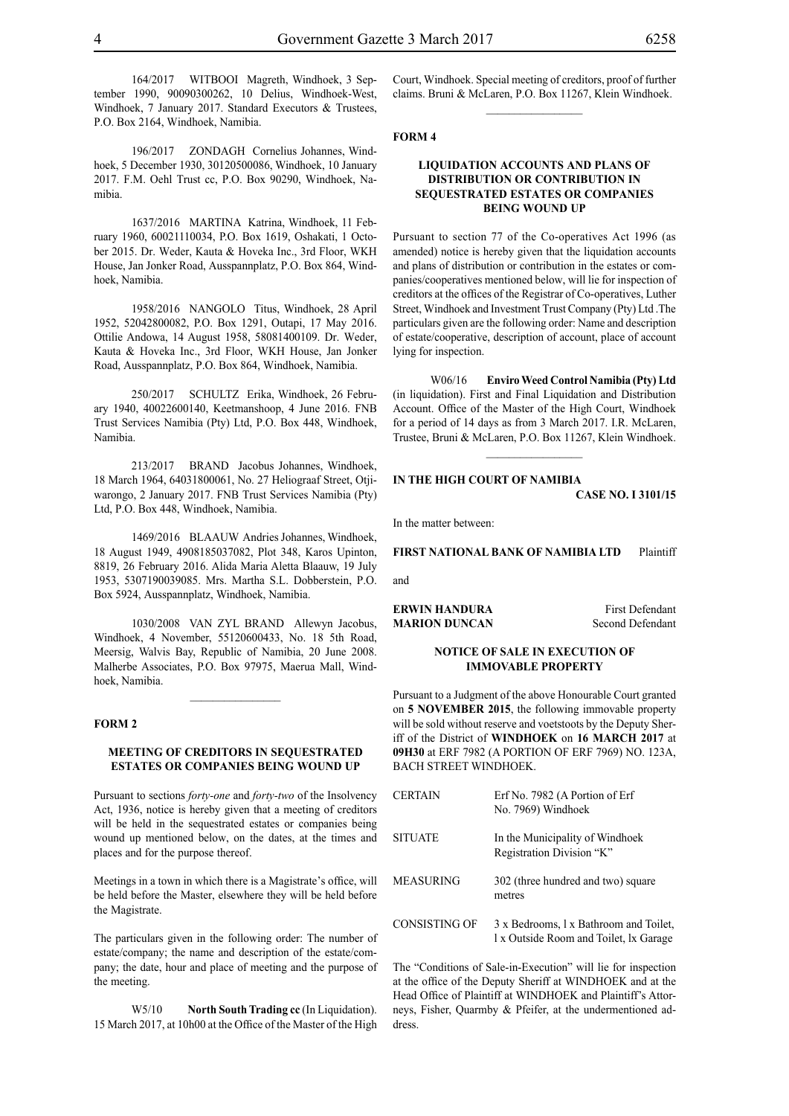164/2017 WITBOOI Magreth, Windhoek, 3 September 1990, 90090300262, 10 Delius, Windhoek-West, Windhoek, 7 January 2017. Standard Executors & Trustees, P.O. Box 2164, Windhoek, Namibia.

196/2017 ZONDAGH Cornelius Johannes, Windhoek, 5 December 1930, 30120500086, Windhoek, 10 January 2017. F.M. Oehl Trust cc, P.O. Box 90290, Windhoek, Namibia.

1637/2016 MARTINA Katrina, Windhoek, 11 February 1960, 60021110034, P.O. Box 1619, Oshakati, 1 October 2015. Dr. Weder, Kauta & Hoveka Inc., 3rd Floor, WKH House, Jan Jonker Road, Ausspannplatz, P.O. Box 864, Windhoek, Namibia.

1958/2016 NANGOLO Titus, Windhoek, 28 April 1952, 52042800082, P.O. Box 1291, Outapi, 17 May 2016. Ottilie Andowa, 14 August 1958, 58081400109. Dr. Weder, Kauta & Hoveka Inc., 3rd Floor, WKH House, Jan Jonker Road, Ausspannplatz, P.O. Box 864, Windhoek, Namibia.

250/2017 SCHULTZ Erika, Windhoek, 26 February 1940, 40022600140, Keetmanshoop, 4 June 2016. FNB Trust Services Namibia (Pty) Ltd, P.O. Box 448, Windhoek, Namibia.

213/2017 BRAND Jacobus Johannes, Windhoek, 18 March 1964, 64031800061, No. 27 Heliograaf Street, Otjiwarongo, 2 January 2017. FNB Trust Services Namibia (Pty) Ltd, P.O. Box 448, Windhoek, Namibia.

1469/2016 BLAAUW Andries Johannes, Windhoek, 18 August 1949, 4908185037082, Plot 348, Karos Upinton, 8819, 26 February 2016. Alida Maria Aletta Blaauw, 19 July 1953, 5307190039085. Mrs. Martha S.L. Dobberstein, P.O. Box 5924, Ausspannplatz, Windhoek, Namibia.

1030/2008 VAN ZYL BRAND Allewyn Jacobus, Windhoek, 4 November, 55120600433, No. 18 5th Road, Meersig, Walvis Bay, Republic of Namibia, 20 June 2008. Malherbe Associates, P.O. Box 97975, Maerua Mall, Windhoek, Namibia.

 $\frac{1}{2}$ 

#### **FORM 2**

#### **MEETING OF CREDITORS IN SEQUESTRATED ESTATES OR COMPANIES BEING WOUND UP**

Pursuant to sections *forty-one* and *forty-two* of the Insolvency Act, 1936, notice is hereby given that a meeting of creditors will be held in the sequestrated estates or companies being wound up mentioned below, on the dates, at the times and places and for the purpose thereof.

Meetings in a town in which there is a Magistrate's office, will be held before the Master, elsewhere they will be held before the Magistrate.

The particulars given in the following order: The number of estate/company; the name and description of the estate/company; the date, hour and place of meeting and the purpose of the meeting.

W5/10 **North South Trading cc** (In Liquidation). 15 March 2017, at 10h00 at the Office of the Master of the High Court, Windhoek. Special meeting of creditors, proof of further claims. Bruni & McLaren, P.O. Box 11267, Klein Windhoek.  $\frac{1}{2}$ 

#### **FORM 4**

#### **LIQUIDATION ACCOUNTS AND PLANS OF DISTRIBUTION OR CONTRIBUTION IN SEQUESTRATED ESTATES OR COMPANIES BEING WOUND UP**

Pursuant to section 77 of the Co-operatives Act 1996 (as amended) notice is hereby given that the liquidation accounts and plans of distribution or contribution in the estates or companies/cooperatives mentioned below, will lie for inspection of creditors at the offices of the Registrar of Co-operatives, Luther Street, Windhoek and Investment Trust Company (Pty) Ltd .The particulars given are the following order: Name and description of estate/cooperative, description of account, place of account lying for inspection.

W06/16 **Enviro Weed Control Namibia (Pty) Ltd**  (in liquidation). First and Final Liquidation and Distribution Account. Office of the Master of the High Court, Windhoek for a period of 14 days as from 3 March 2017. I.R. McLaren, Trustee, Bruni & McLaren, P.O. Box 11267, Klein Windhoek.

#### **IN THE HIGH COURT OF NAMIBIA**

**CASE No. I 3101/15**

In the matter between:

**FIRST NATIONAL BANK OF NAMIBIA LTD** Plaintiff

and

**ERWIN HANDURA** First Defendant<br> **MARION DUNCAN** Second Defendant **MARION DUNCAN** 

#### **NOTICE OF SALE IN EXECUTION OF IMMOVABLE PROPERTY**

Pursuant to a Judgment of the above Honourable Court granted on **5 NOVEMBER 2015**, the following immovable property will be sold without reserve and voetstoots by the Deputy Sheriff of the District of **WINDHOEK** on **16 MARCH 2017** at **09H30** at ERF 7982 (A PORTION OF ERF 7969) NO. 123A, BACH STREET WINDHOEK.

| <b>CERTAIN</b> | Erf No. 7982 (A Portion of Erf<br>No. 7969) Windhoek                             |
|----------------|----------------------------------------------------------------------------------|
| <b>SITUATE</b> | In the Municipality of Windhoek<br>Registration Division "K"                     |
| MEASURING      | 302 (three hundred and two) square<br>metres                                     |
| CONSISTING OF  | 3 x Bedrooms, 1 x Bathroom and Toilet,<br>1 x Outside Room and Toilet, 1x Garage |

The "Conditions of Sale-in-Execution" will lie for inspection at the office of the Deputy Sheriff at WINDHOEK and at the Head Office of Plaintiff at WINDHOEK and Plaintiff's Attorneys, Fisher, Quarmby & Pfeifer, at the undermentioned address.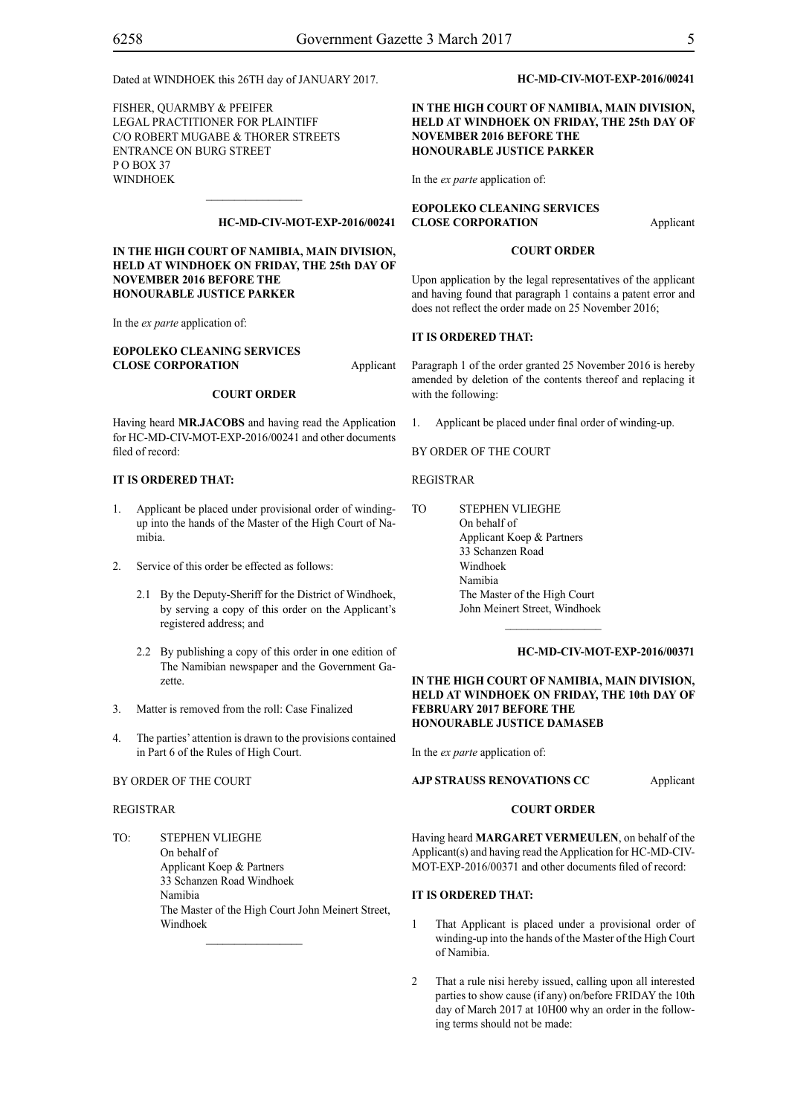FISHER, QUARMBY & PFEIFER LEGAL PRACTITIONER FOR PLAINTIFF c/o Robert Mugabe & Thorer Streets entrance on Burg Street P O Box 37 WINDHOEK

#### **HC-MD-CIV-MOT-EXP-2016/00241**

**IN THE HIGH COURT OF NAMIBIA, MAIN DIVISION, HELD AT WINDHOEK ON FRIDAY, THE 25th DAY OF NOVEMBER 2016 BEFORE THE HONOURABLE JUSTICE PARKER**

 $\mathcal{L}=\mathcal{L}^{\text{max}}$ 

In the *ex parte* application of:

#### **EOPOLEKO CLEANING SERVICES CLOSE CORPORATION** Applicant

#### **COURT ORDER**

Having heard **MR.JACOBS** and having read the Application for HC-MD-CIV-MOT-EXP-2016/00241 and other documents filed of record:

#### **IT IS ORDERED THAT:**

- 1. Applicant be placed under provisional order of windingup into the hands of the Master of the High Court of Namibia.
- 2. Service of this order be effected as follows:
	- 2.1 By the Deputy-Sheriff for the District of Windhoek, by serving a copy of this order on the Applicant's registered address; and
	- 2.2 By publishing a copy of this order in one edition of The Namibian newspaper and the Government Gazette.
- 3. Matter is removed from the roll: Case Finalized
- 4. The parties' attention is drawn to the provisions contained in Part 6 of the Rules of High Court.

#### BY ORDER OF THE COURT

#### REGISTRAR

TO: STEPHEN VLIEGHE On behalf of Applicant Koep & Partners 33 Schanzen Road Windhoek Namibia The Master of the High Court John Meinert Street, Windhoek

 $\frac{1}{2}$ 

#### **HC-MD-CIV-MOT-EXP-2016/00241**

#### **IN THE HIGH COURT OF NAMIBIA, MAIN DIVISION, HELD AT WINDHOEK ON FRIDAY, THE 25th DAY OF NOVEMBER 2016 BEFORE THE HONOURABLE JUSTICE PARKER**

In the *ex parte* application of:

**EOPOLEKO CLEANING SERVICES CLOSE CORPORATION** Applicant

#### **COURT ORDER**

Upon application by the legal representatives of the applicant and having found that paragraph 1 contains a patent error and does not reflect the order made on 25 November 2016;

#### **IT IS ORDERED THAT:**

Paragraph 1 of the order granted 25 November 2016 is hereby amended by deletion of the contents thereof and replacing it with the following:

1. Applicant be placed under final order of winding-up.

BY ORDER OF THE COURT

#### REGISTRAR

TO STEPHEN VLIEGHE On behalf of Applicant Koep & Partners 33 Schanzen Road Windhoek Namibia The Master of the High Court John Meinert Street, Windhoek

#### **HC-MD-CIV-MOT-EXP-2016/00371**

#### **IN THE HIGH COURT OF NAMIBIA, MAIN DIVISION, HELD AT WINDHOEK ON FRIDAY, THE 10th DAY OF FEBRUARY 2017 BEFORE THE HONOURABLE JUSTICE DAMASEB**

 $\frac{1}{2}$ 

In the *ex parte* application of:

#### **AJP STRAUSS RENOVATIONS CC** Applicant

#### **COURT ORDER**

Having heard **MARGARET VERMEULEN**, on behalf of the Applicant(s) and having read the Application for HC-MD-CIV-MOT-EXP-2016/00371 and other documents filed of record:

#### **IT IS ORDERED THAT:**

- 1 That Applicant is placed under a provisional order of winding-up into the hands of the Master of the High Court of Namibia.
- 2 That a rule nisi hereby issued, calling upon all interested parties to show cause (if any) on/before FRIDAY the 10th day of March 2017 at 10H00 why an order in the following terms should not be made: